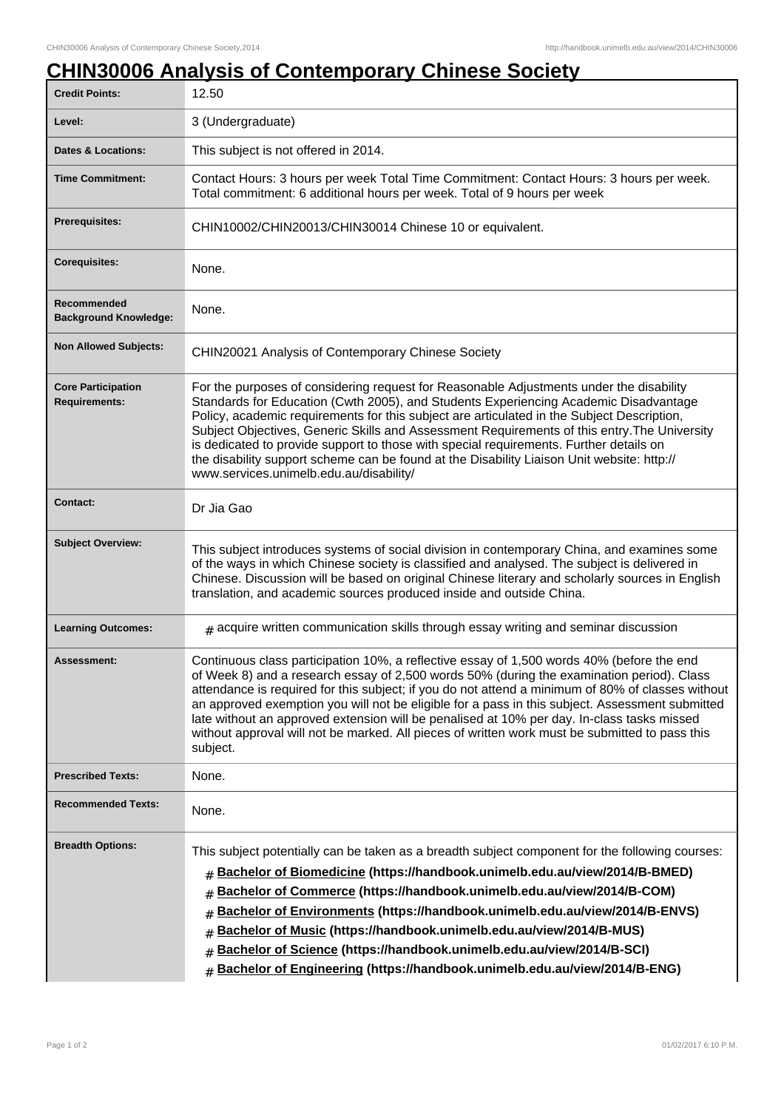## **CHIN30006 Analysis of Contemporary Chinese Society**

| <b>Credit Points:</b>                             | 12.50                                                                                                                                                                                                                                                                                                                                                                                                                                                                                                                                                                                                            |
|---------------------------------------------------|------------------------------------------------------------------------------------------------------------------------------------------------------------------------------------------------------------------------------------------------------------------------------------------------------------------------------------------------------------------------------------------------------------------------------------------------------------------------------------------------------------------------------------------------------------------------------------------------------------------|
| Level:                                            | 3 (Undergraduate)                                                                                                                                                                                                                                                                                                                                                                                                                                                                                                                                                                                                |
| <b>Dates &amp; Locations:</b>                     | This subject is not offered in 2014.                                                                                                                                                                                                                                                                                                                                                                                                                                                                                                                                                                             |
| <b>Time Commitment:</b>                           | Contact Hours: 3 hours per week Total Time Commitment: Contact Hours: 3 hours per week.<br>Total commitment: 6 additional hours per week. Total of 9 hours per week                                                                                                                                                                                                                                                                                                                                                                                                                                              |
| Prerequisites:                                    | CHIN10002/CHIN20013/CHIN30014 Chinese 10 or equivalent.                                                                                                                                                                                                                                                                                                                                                                                                                                                                                                                                                          |
| <b>Corequisites:</b>                              | None.                                                                                                                                                                                                                                                                                                                                                                                                                                                                                                                                                                                                            |
| Recommended<br><b>Background Knowledge:</b>       | None.                                                                                                                                                                                                                                                                                                                                                                                                                                                                                                                                                                                                            |
| <b>Non Allowed Subjects:</b>                      | CHIN20021 Analysis of Contemporary Chinese Society                                                                                                                                                                                                                                                                                                                                                                                                                                                                                                                                                               |
| <b>Core Participation</b><br><b>Requirements:</b> | For the purposes of considering request for Reasonable Adjustments under the disability<br>Standards for Education (Cwth 2005), and Students Experiencing Academic Disadvantage<br>Policy, academic requirements for this subject are articulated in the Subject Description,<br>Subject Objectives, Generic Skills and Assessment Requirements of this entry. The University<br>is dedicated to provide support to those with special requirements. Further details on<br>the disability support scheme can be found at the Disability Liaison Unit website: http://<br>www.services.unimelb.edu.au/disability/ |
| <b>Contact:</b>                                   | Dr Jia Gao                                                                                                                                                                                                                                                                                                                                                                                                                                                                                                                                                                                                       |
| <b>Subject Overview:</b>                          | This subject introduces systems of social division in contemporary China, and examines some<br>of the ways in which Chinese society is classified and analysed. The subject is delivered in<br>Chinese. Discussion will be based on original Chinese literary and scholarly sources in English<br>translation, and academic sources produced inside and outside China.                                                                                                                                                                                                                                           |
| <b>Learning Outcomes:</b>                         | $#$ acquire written communication skills through essay writing and seminar discussion                                                                                                                                                                                                                                                                                                                                                                                                                                                                                                                            |
| <b>Assessment:</b>                                | Continuous class participation 10%, a reflective essay of 1,500 words 40% (before the end<br>of Week 8) and a research essay of 2,500 words 50% (during the examination period). Class<br>attendance is required for this subject; if you do not attend a minimum of 80% of classes without<br>an approved exemption you will not be eligible for a pass in this subject. Assessment submitted<br>late without an approved extension will be penalised at 10% per day. In-class tasks missed<br>without approval will not be marked. All pieces of written work must be submitted to pass this<br>subject.       |
| <b>Prescribed Texts:</b>                          | None.                                                                                                                                                                                                                                                                                                                                                                                                                                                                                                                                                                                                            |
| <b>Recommended Texts:</b>                         | None.                                                                                                                                                                                                                                                                                                                                                                                                                                                                                                                                                                                                            |
| <b>Breadth Options:</b>                           | This subject potentially can be taken as a breadth subject component for the following courses:<br>Bachelor of Biomedicine (https://handbook.unimelb.edu.au/view/2014/B-BMED)<br>$\#$<br>Bachelor of Commerce (https://handbook.unimelb.edu.au/view/2014/B-COM)<br>#<br>Bachelor of Environments (https://handbook.unimelb.edu.au/view/2014/B-ENVS)<br>#<br>Bachelor of Music (https://handbook.unimelb.edu.au/view/2014/B-MUS)<br>#<br>Bachelor of Science (https://handbook.unimelb.edu.au/view/2014/B-SCI)<br>#<br>Bachelor of Engineering (https://handbook.unimelb.edu.au/view/2014/B-ENG)<br>#             |